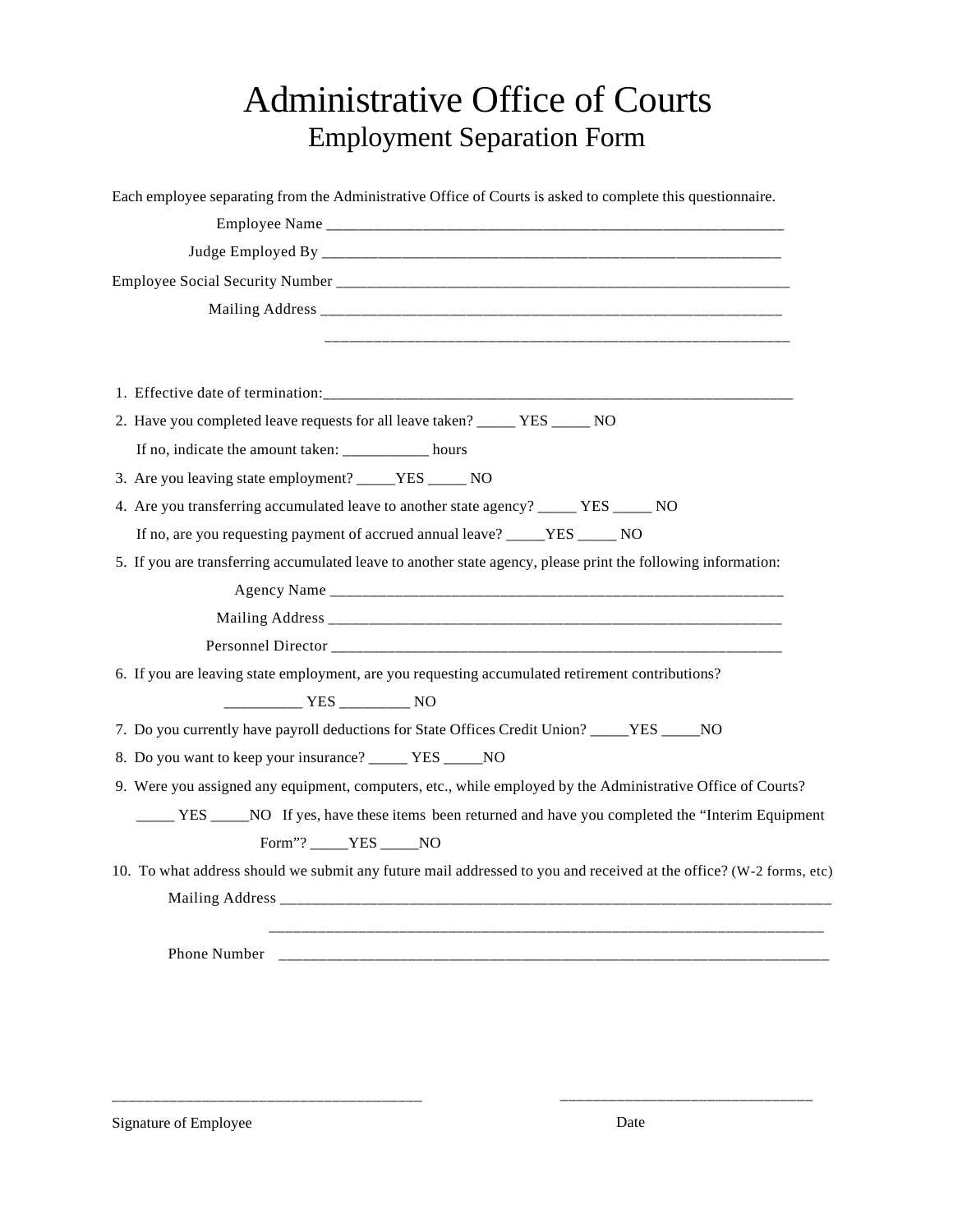## Administrative Office of Courts Employment Separation Form

| Each employee separating from the Administrative Office of Courts is asked to complete this questionnaire.         |
|--------------------------------------------------------------------------------------------------------------------|
|                                                                                                                    |
|                                                                                                                    |
|                                                                                                                    |
|                                                                                                                    |
|                                                                                                                    |
|                                                                                                                    |
|                                                                                                                    |
| 2. Have you completed leave requests for all leave taken? ______ YES _____ NO                                      |
| If no, indicate the amount taken: __________ hours                                                                 |
| 3. Are you leaving state employment? _____YES ______ NO                                                            |
| 4. Are you transferring accumulated leave to another state agency? _____ YES _____ NO                              |
| If no, are you requesting payment of accrued annual leave? _____YES _____ NO                                       |
| 5. If you are transferring accumulated leave to another state agency, please print the following information:      |
|                                                                                                                    |
|                                                                                                                    |
|                                                                                                                    |
| 6. If you are leaving state employment, are you requesting accumulated retirement contributions?                   |
|                                                                                                                    |
| 7. Do you currently have payroll deductions for State Offices Credit Union? _____YES _____NO                       |
| 8. Do you want to keep your insurance? _____ YES _____NO                                                           |
| 9. Were you assigned any equipment, computers, etc., while employed by the Administrative Office of Courts?        |
|                                                                                                                    |
| Form"? _____YES _____NO                                                                                            |
| 10. To what address should we submit any future mail addressed to you and received at the office? (W-2 forms, etc) |
|                                                                                                                    |
|                                                                                                                    |
| Phone Number                                                                                                       |
|                                                                                                                    |

\_\_\_\_\_\_\_\_\_\_\_\_\_\_\_\_\_\_\_\_\_\_\_\_\_\_\_\_\_\_\_\_\_\_\_\_\_\_ \_\_\_\_\_\_\_\_\_\_\_\_\_\_\_\_\_\_\_\_\_\_\_\_\_\_\_\_\_\_\_

Signature of Employee Date